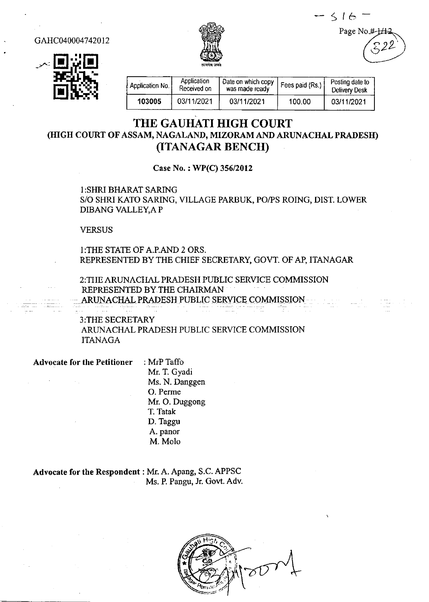$516 -$ Page No

GAHC040004742012





| Application No. | Application<br>Received on | Date on which copy<br>was made ready | Fees paid (Rs.) | Posting date to<br><b>Delivery Desk</b> |
|-----------------|----------------------------|--------------------------------------|-----------------|-----------------------------------------|
| 103005          | 03/11/2021                 | 03/11/2021                           | 100.00          | 03/11/2021                              |

## THE GAUHATI HIGH COURT (IIIGH COURT OF ASSAM, NAGAIAND, MIZORAM AND ARUNACHAL PRADESIT) (TTANAGAR BENCII)

Case No.: WP(C) 356/2012

1:SHRI BHARAI SARING S/O SHRI KATO SARING, VILLAGE PARBUK, PO/PS ROING, DIST. LOWER DIBANG VALLEY, AP

VERSUS

l:THE STAIE OFA.P.AND 2 ORS. REPRESENTED BY THE CHIEF SECRETARY, GOVT. OF AP, ITANAGAR

2:TIIE ARUNACIIAL PRADESH PUBLIC SERVICE COMMISSION REPRESENTED BY.THE CHAIRMAN ARUNACHAL PRADESH PUBLIC SERVICE COMMISSION

3:THE SECRETARY ARLINACHAL PRADESH PUBLIC SERVICE COMMISSION ITANAGA

Advocate for the Petitioner : MrP Taffo

Mr. T. Gyadi Ms. N. Danggen O. Perme Mr. O. Duggong T. Tatak D. Taggu A. panor M. Molo

Advocate for the Respondent : Mr. A. Apang, S.C. APPSC Ms. P. Pangu, Jr. Govt. Adv.

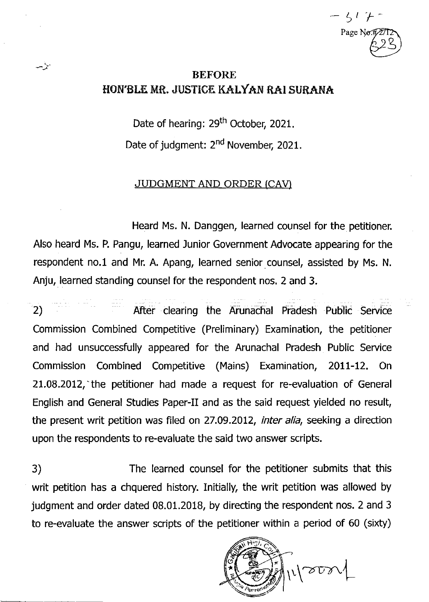$\zeta$   $\prime$ Page No.7 't

## BEFORE HON'BLE MR. JUSTICE KALYAN RAI SURANA

أتأيب

Date of hearing: 29<sup>th</sup> October, 2021. Date of judgment: 2<sup>nd</sup> November, 2021.

## **JUDGMENT AND ORDER (CAV)**

Heard Ms. N. Danggen, learned counsel for the petitioner. Also heard Ms. P. Pangu, learned Junior Government Advocate appearing for the respondent no.1 and Mr, A. Apang, learned senior counsel, assisted by Ms. N. Anju, learned standing counsel for the respondent nos. 2 and 3.

2) **After clearing the Arunachal Pradesh Public Service** Commission Combined Competitive (Preliminary) Examination, the petitioner and had unsuccessfully appeared for the Arunachal Pradesh Public Seruice Commission Combined Competitive (Mains) Examination, 2011-12. On 21.08.2012, the petitioner had made a request for re-evaluation of General English and General Studies Paper-II and as the said request yielded no result, the present writ petition was filed on 27.09.2012, *inter alia*, seeking a direction upon the respondents to re-evaluate the said two answer scripts.

3) The learned counsel for the petitioner submits that this writ petition has a chquered history. Initially, the writ petition was allowed by judgment and order dated 08.01.2018, by directing the respondent nos. 2 and 3 to re-evaluate the answer scripts of the petitioner within a period of 60 (sixty)

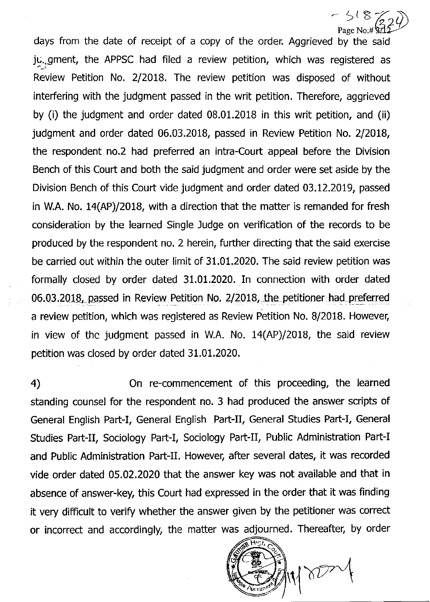Page No.# days from the date of receipt of a copy of the order. Aggrieved by the said ju..gment, the APPSC had filed a review petition, which was registered as Review Petition No. 2/2018. The review petition was disposed of without interfering with the judgment passed in the writ petition. Therefore, aggrieved by (i) the judgment and order dated 08.01.2018 in this writ petition, and (ii) judgment and order dated 06.03.2018, passed in Review Petition No. 2/2018, the respondent no.2 had preferred an intra-Court appeal before the Division Bench of this Court and both the said judgment and order were set aside by the Division Bench of this Court vide judgment and order dated 03.12.2019, passed in W.A. No. 14(AP)/2018, with a direction that the matter is remanded for fresh consideration by the learned Single Judge on verification of the records to be produced by the respondent no. 2 herein, further directing that the said exercise be carried out within the outer limit of 31.01.2020, The said review petition was formally closed by order dated 31.01.2020. In connection with order dated 06.03.2018, passed in Review Petition No. 2/2018, the petitioner had preferred a review petition, which was registered as Review Petition No. 8/2018. However, in view of thc judgment passed in WA. No. 14(AP)/2018, the said review petition was closed by order dated 31.01,2020.  $(324)$ 

4) On re-commencement of this proceeding, the learned standing counsel for the respondent no. 3 had produced the answer scripts of General English Part-I, General English Part-II, General Studies Part-I, General Studies Part-II, Sociology Part-I, Sociology Part-II, Public Administration Part-I and Public Administration Part-II. However, after several dates, it was recorded vide order dated 05.02.2020 that the answer key was not available and that in absence of answer-key, this Court had expressed in the order that it was finding it very difficult to verify whether the answer given by the petitioner was correct or incorrect and accordingly, the matter was adjourned. Thereafter, by order



 $-518$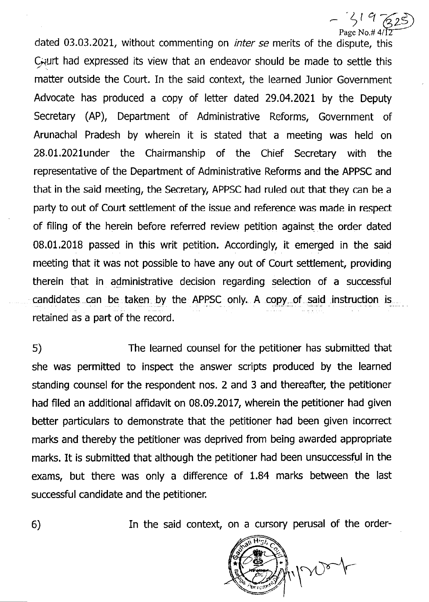$\frac{1}{2}$ ,  $\frac{1}{4}$ <br>Page No.#4 dated 03.03.2021, without commenting on *inter se* merits of the dispute, this Caurt had expressed its view that an endeavor should be made to settle this matter outside the Court. In the said context, the learned Junior Government Advocate has produced a copy of letter dated 29.04.2021 by the Deputy Secretary (AP), Department of Administrative Reforms, Government of Arunachal Pradesh by wherein it is stated that a meeting was held on 28,01.2021under the Chairmanship of the Chief Secretary with the representative of the Department of Administrative Reforms and the APPSC and that in the said meeting, the Secretary, APPSC had ruled out that they can be a party to out of Court settlement of the issue and reference was made in respect of filing of the herein before referred review petition against the order dated 08.01.2018 passed in this writ petition. Accordingly, it emerged in the said meeting that it was not possible to have any out of Court settlement, providing therein that in administrative decision regarding selection of a successful candidates can be taken by the APPSC only. A copy-of said instruction ig retained as a part of the record.

5) The learned counsel for the petitioner has submitted that she was permitted to inspect the answer scripts produced by the learned standing counsel for the respondent nos. 2 and 3 and thereafter, the petitioner had flled an additional affidavit on 08.09.2017, wherein the petitioner had given better paticulars to demonstrate that the petitioner had been given incorrect marks and thereby the petitioner was deprived from being awarded appropriate marks. It is submitted that although the petitioner had been unsuccessful in the exams, but there was only a difference of 1.84 marks between the last successful candidate and the petitioner.

6) In the said context, on a cursory perusal of the order-

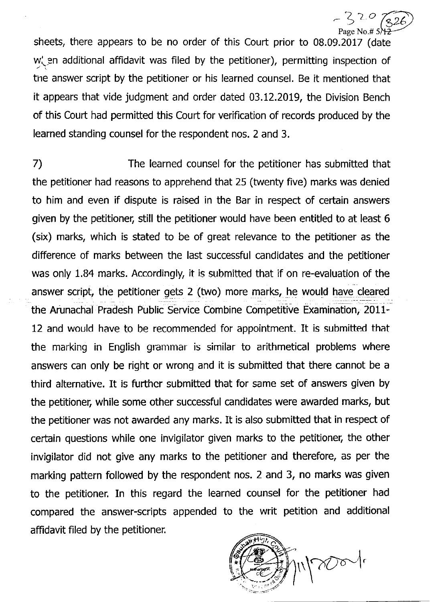Page No.# 5 sheets, there appears to be no order of this Court prior to 08.09.2017 (date  $w'_n$  en additional affidavit was filed by the petitioner), permitting inspection of tne answer script by the petitioner or his learned counsel. Be it mentioned that it appears that vide judgment and order dated 03.12.2019, the Division Bench

 $320$ 

of this Court had permitted this Court for verification of records produced by the learned standing counsel for the respondent nos. 2 and 3.

7) The learned counsel for the petitioner has submitted that the petitioner had reasons to apprehend that 25 (twenty five) marks was denied to him and even if dispute is raised in the Bar in respect of certain answers given by the petitioner, still the petitioner would have been entitled to at least 6 (six) marks, which is stated to be of great relevance to the petitioner as the difference of marks between the last successful candidates and the petitioner was only 1.84 marks. Accordingly, it is submitted that if on re-evaluation of the answer script, the petitioner gets 2 (two) more marks, he would have cleared the Arunachal Pradesh Public Service Combine Competitive Examination, 2011- 12 and would have to be recommended for appointment. It is submitted that the marking in English grammar is similar to arithmetical problems where answers can only be right or wrong and it is submitted that there cannot be a third alternative. It is furthcr submitted that for same set of answers given by the petitioner, while some other successful candidates were awarded marks, but the petitioner was not awarded any marks. It is also submitted that in respect of cetain questions while one invigilator given marks to the petitioner, the other invigilator did not give any marks to the petitioner and therefore, as per the marking pattern followed by the respondent nos. 2 and 3, no marks was given to the petitioner. In this regard the learned counsel for the petitioner had compared the answer-scripts appended to the writ petition and additional affidavit filed by the petitioner.

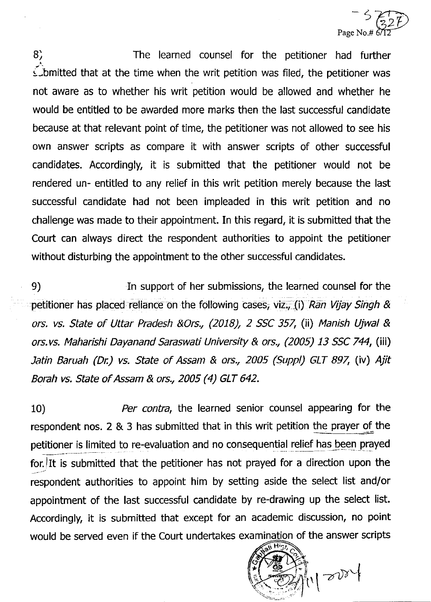

B) The learned counsel for the petitioner had fufther s-bmitted that at the time when the writ petition was filed, the petitioner was not aware as to whether his writ petition would be atlowed and whether he would be entitled to be awarded more marks then the last successful candidate because at that relevant point of time, the petitioner was not allowed to see his own answer scripts as compare it with answer scripts of other successful candidates. Accordingly, it is submitted that the petitioner would not be rendered un- entitled to any relief in this writ petition merely because the last successful candidate had not been impleaded in this writ petition and no challenge was made to their appointment. In this regard, it is submitted that the Court can always direct the respondent authorities to appoint the petitioner without disturbing the appointment to the other successful candidates.

9) In support of her submissions, the learned counsel for the petitioner has placed reliance on the following cases, viz., (i) Ran Vijay Singh & ors. vs. State of Uttar Pradesh &Ors., (2018), 2 SSC 357, (ii) Manish Ujwal & ors.vs. Maharishi Dayanand Saraswati University & ors., (2005) 13 SSC 744, (iii) Jatin Baruah (Dr.) vs. State of Assam & ors., 2005 (Suppl) GLT 897, (iv) Ajit Borah vs. State of Assam & ors., 2005 (4) GLT 642.

10) Per contra, the learned senior counsel appearing for the respondent nos. 2 & 3 has submitted that in this writ petition the prayer of the petitioner is limited to re-evaluation and no consequential relief has been prayed for. It is submitted that the petitioner has not prayed for a direction upon the respondent authorities to appoint him by setting aside the select list and/or appointment of the last successful candidate by re-drawing up the select list. Accordingly, it is submitted that except for an academic discussion, no point would be served even if the Court undertakes examination of the answer scripts

 $\mathbf{c}^*$  $\mathbb{Z}[\mathbb{Z}[\mathbb{Z}^d]]$  $\mathcal{L}_{\mathcal{L}_{\mathcal{L}_{\mathcal{L}}}^{(r)}}$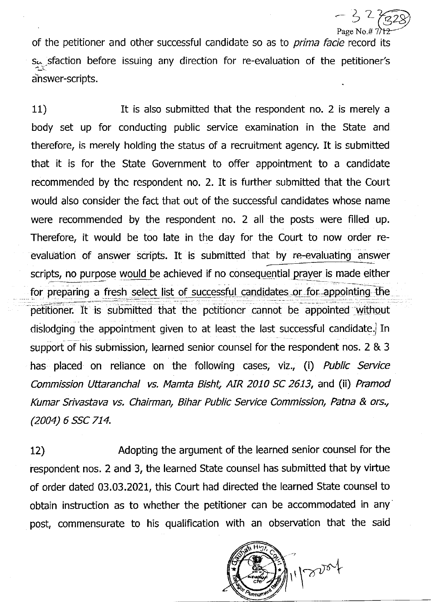$-32$ Page No.# 7

of the petitioner and other successful candidate so as to *prima facie* record its segisfaction before issuing any direction for re-evaluation of the petitioner's answer-scripts.

11) **it is also submitted that the respondent no. 2 is merely a** body set up for conducting public service examination in the State and therefore, is merely holding the status of a recruitment agency. It is submitted that it is for the State Government to offer appointment to a candidate recommended by thc rcspondent no. 2. It is further submitted that the Court would also consider the fact that out of the successful candidates whose name were recommended by the respondent no. 2 all the posts were filled up. Therefore, it would be too late in the day for the Court to now order reevaluation of answer scripts. It is submitted that by re-evaluating answer scripts, no purpose would be achieved if no consequential prayer is made either for preparing a fresh select list of successful candidates or for appointing the petitioner. It is submitted that the petitioner cannot be appointed without dislodging the appointment given to at least the last successful candidate. In support of his submission, learned senior counsel for the respondent nos. 2 & 3 has placed on reliance on the following cases, viz., (i) Public Service Commission Uttaranchal vs. Mamta Bisht, AIR 2010 SC 2613, and (ii) Pramod Kumar Srivastava vs. Chairman, Bihar Public Service Commission, Patna & ors., (2004) 6 SSC 714.

12) Adopting the argument of the learned senior counsel for the respondent nos. 2 and 3, the learned State counsel has submitted that by viftue of order dated 03.03.2021, this Court had directed the learned State counsel to obtain instruction as to whether the petitioner can be accommodated in any post, commensurate to his qualification with an observation that the said

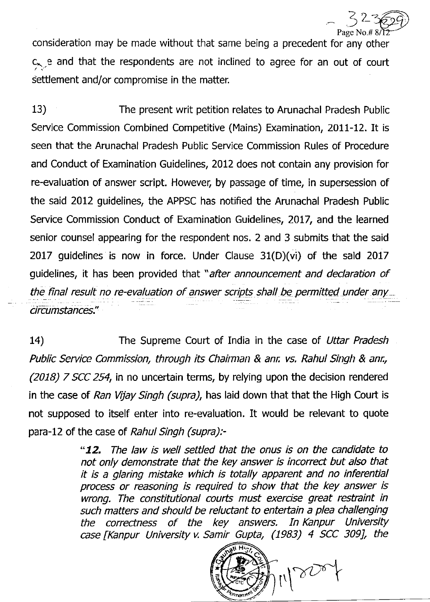$\angle$ Page No.# 3

consideration may be made without that same being a precedent for any other  $c_{\text{ex}}$  e and that the respondents are not inclined to agree for an out of court settlement and/or compromise in the matter.

13) The present writ petition relates to Arunachal Pradesh Public Service Commission Combined Competitive (Mains) Examination, 2011-12. It is seen that the Arunachal Pradesh Public Service Commission Rules of Procedure and Conduct of Examination Guidelines, 2012 does not contain any provision for re-evaluation of answer script. However, by passage of time, in supersession of the said 2012 guidelines, the APPSC has notified the Arunachal Pradesh Public Service Commission Conduct of Examination Guidelines, 2017, and the learned senior counsel appearing for the respondent nos. 2 and 3 submits that the said 2017 guidelines is now in force. Under Clause  $31(D)(vi)$  of the sald 2017 guidelines, it has been provided that "after announcement and declaration of the final result no re-evaluation of answer scripts shall be permitted under any circumstances."

14) The Supreme Court of India in the case of Uttar Pradesh Public Service Commission, through its Chairman & anr. vs. Rahul Singh & anr., (2018) 7 SCC 254, in no uncertain terms, by relying upon the decision rendered in the case of Ran Vijay Singh (supra), has laid down that that the High Court is not supposed to itself enter into re-evaluation. It would be relevant to quote para-12 of the case of Rahul Singh (supra):-

> "**12.** The law is well settled that the onus is on the candidate to not only demonstrate that the key answer is incorrect but also that it is a glaring mistake which is totally apparent and no inferential process or reasoning is required to show that the key answer is wrong. The constitutional courts must exercise great restraint in such matters and should be reluctant to entertain a plea challenging the correctness of the key answers. In Kanpur University case [Kanpur University v. Samir Gupta, (1983) 4 SCC 309], the

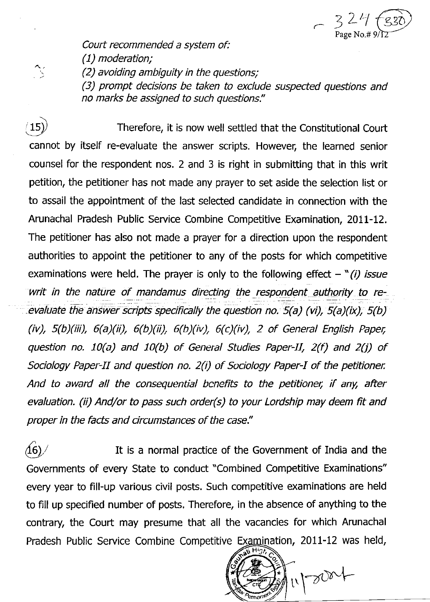

Court recommended a system of:

(1) moderation;

(2) avoiding ambiguity in the questions;

(3) prompt decisions be taken to exclude suspected questions and no marks be assigned to such questions."

 $(15)$  Therefore, it is now well settled that the Constitutional Court cannot by itself re-evaluate the answer scripts. However, the learned senior counsel for the respondent nos. 2 and 3 is right in submitting that in this writ petition, the petitioner has not made any prayer to set aside the selection list or to assail the appointment of the last selected candidate in connection with the Arunachal Pradesh Public Service Combine Competitive Examination, ZOtl-Lz. The petitioner has also not made a prayer for a direction upon the respondent authorities to appoint the petitioner to any of the posts for which competitive examinations were held. The prayer is only to the following effect  $-$  " $(i)$  issue writ in the nature of mandamus directing the respondent authority to reevaluate the answer scripts specifically the question no.  $5(a)$  (vi),  $5(a)$ (ix),  $5(b)$ (iv),  $5(b)(iii)$ ,  $6(a)(ii)$ ,  $6(b)(ii)$ ,  $6(b)(iv)$ ,  $6(c)(iv)$ , 2 of General English Paper, question no. 10(a) and 10(b) of General Studies Paper-II,  $2(f)$  and  $2(j)$  of Sociology Paper-II and question no. 2(i) of Sociology Paper-I of the petitioner. And to award all the consequential benefits to the petitioner, if any, after evaluation. (ii) And/or to pass such order(s) to your Lordship may deem fit and proper in the facts and circumstances of the case."

 $\langle 16 \rangle /$  It is a normal practice of the Government of India and the Governments of every State to conduct "Combined Competitive Examinations" every year to fill-up various civil posts. Such competitive examinations are held to fill up specified number of posts. Therefore, in the absence of anything to the contrary, the Court may presume that all the vacancies for which Arunachal Pradesh Public Service Combine Competitive Examination, 2011-12 was held,

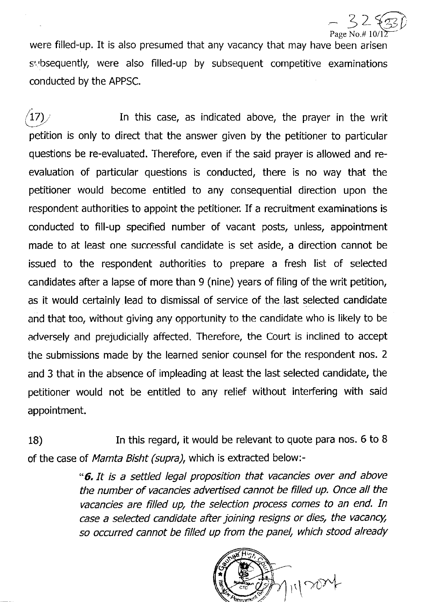$\overline{\zeta}$ Page No.#10

were filled-up. It is also presumed that any vacancy that may have been arisen subsequently, were also filled-up by subsequent competitive examinations conducted by the APPSC.

 $(17)$  In this case, as indicated above, the prayer in the writ petition is only to direct that the answer given by the petitioner to particular questions be re-evaluated. Therefore, even if the said prayer is allowed and reevaluation of particular questions is conducted, there is no way that the petitioner would become entitled to any consequential direction upon the respondent authorities to appoint the petitioner. If a recruitment examinations is conducted to fill-up specified number of vacant posts, unless, appointment made to at least one successful candidate is set aside, a direction cannot be issued to the respondent authorities to prepare a fresh list of selected candidates after a lapse of more than 9 (nine) years of filing of the writ petition, as it would certainly lead to dismissal of service of the last selected candidate and that too, without giving any opportunity to the candidate who is likely to be adversely and prejudicially affected. Therefore, the Court is inclined to accept the submissions made by the learned senior counsel for the respondent nos. <sup>2</sup> and 3 that in the absence of impleading at least the last selected candidate, the petitioner would not be entitled to any relief without interfering with said appointment.

18) In this regard, it would be relevant to quote para nos. 6 to <sup>B</sup> of the case of Mamta Bisht (supra), which is extracted below:-

> \*6.1t is a settled legal proposition that vacancies over and above the number of vacancies advertised cannot be filled up. Once all the vacancies are filled up, the selection process comes to an end. In case a selected candidate after joining resigns or dies, the vacancy, so occurred cannot be filled up from the panel, which stood already

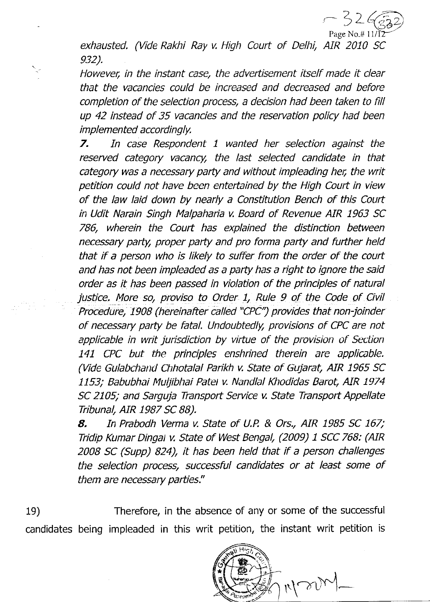

exhausted. (Vide Rakhi Ray v. High Court of Delhi, AIR 2010 SC 932).

However, in the instant case, the advertisement itself made it clear that the vacancies could be increased and decreased and before completion of the selection process, a decision had been taken to fill up 42 instead of 35 vacancies and the reservation policy had been im plemented accordingly.

7. In case Respondent 1 wanted her selection against the reserved category vacancy, the last selected candidate in that category was a necessary party and without impleading her, the writ petition could not have been entertained by the High Court in view of the law laid down by nearly a Constitution Bench of this Court in Udit Narain Singh Malpaharia v. Board of Revenue AIR 1963 SC 786, wherein the Coutt has explained the distinction between necessary party, proper party and pro forma party and fufther held that if a person who is likely to suffer from the order of the court and has not been impleaded as a party has a right to ignore the said order as it has been passed in violation of the principles of natural justice. More so, proviso to Order 1, Rule 9 of the Code of Civil Procedure, 1908 (hereinafter called "CPC") provides that non-joinder of necessary party be fatal. Undoubtedly, provisions of CPC are not applicable in writ jurisdiction by virtue of the provision of Section 141 CPC but the principles enshrined therein are applicable. (Vide Gulabchand Chhotalal Parikh v. State of Gujarat, AIR 1965 SC 1153; Babubhai Muljibhai Patel v. Nandlal Khodidas Barot, AIR 1974 SC 2105; and Sarguja Transport Seruice v. State Transpott Appellate Tribunal, AIR 1987 SC BB).

8. In Prabodh Verma v. State of U.P. & Ors., AIR 1985 SC 167; Tridip Kumar Dingat v. State of West Bengal, (2009) 1 SCC 768: (AIR 2008 SC (Supp) 824), it has been held that if a person challenges the selection process, successful candidates or at least some of them are necessary parties."

19) Therefore, in the absence of any or some of the successful candidates being impleaded in this writ petition, the instant writ petition is